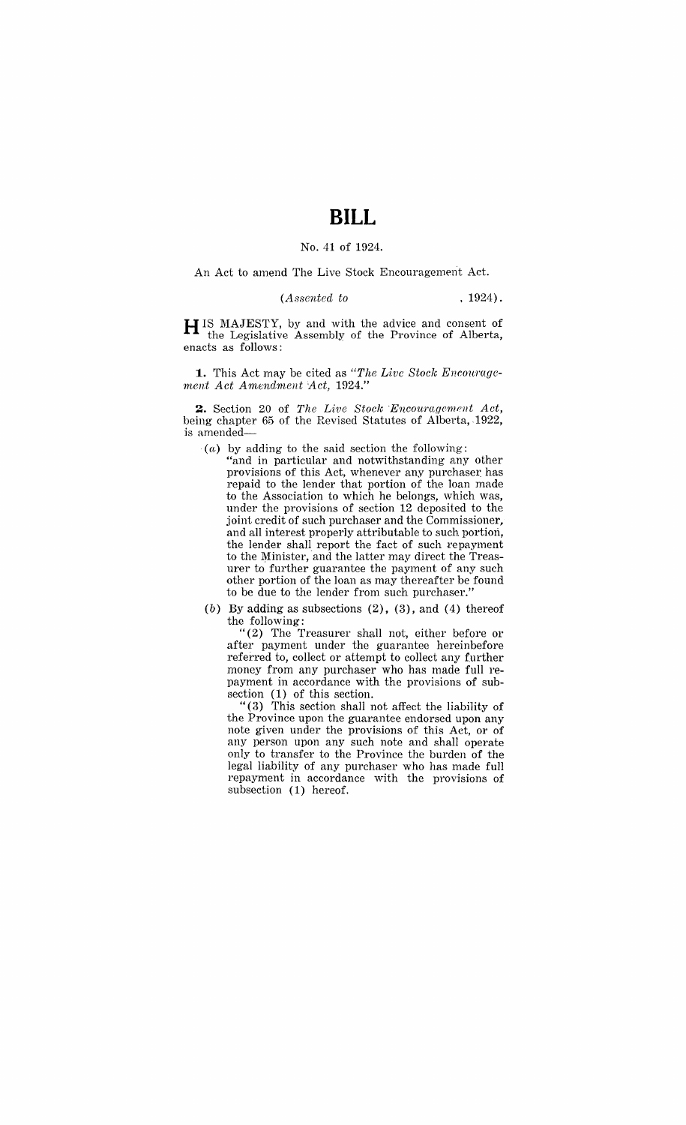## **BILL**

## No. 41 of 1924.

An Act to amend The Live Stock Encouragement Act.

## *(Assented to* . 1924).

H IS MAJESTY, by and with the advice and consent of the Legislative Assembly of the Province of Alberta, enacts as follows:

**1.** This Act may be cited as "The Live Stock Encourage*ment Act Amendment Act, 1924."* 

2. Section 20 of *The Live Stock Encouragement Act*, being chapter 65 of the Revised Statutes of Alberta, 1922, is amended-

- $(a)$  by adding to the said section the following:
	- "and in particular and notwithstanding any other provisions of this Act, whenever any purchaser has repaid to the lender that portion of the loan made to the Association to which he belongs, which was, under the provisions of section 12 deposited to the joint credit of such purchaser and the Commissioner, and all interest properly attributable to such portion, the lender shall report the fact of such repayment to the Minister, and the latter may direct the Treasurer to further guarantee the payment of any such other portion of the loan as may thereafter be found to be due to the lender from such purchaser."

(b) By adding as subsections  $(2)$ ,  $(3)$ , and  $(4)$  thereof the following:

"(2) The Treasurer shall not, either before or after payment under the guarantee hereinbefore referred to, collect or attempt to collect any further money from any purchaser who has made full repayment in accordance with the provisions of subsection (1) of this section.

" (3) This section shall not affect the liability of the Province upon the guarantee endorsed upon any note given under the provisions of this Act, or of any person upon any such note and shall operate only to transfer to the Province the burden of the legal liability of any purchaser who has made full repayment in accordance with the provisions of subsection (1) hereof.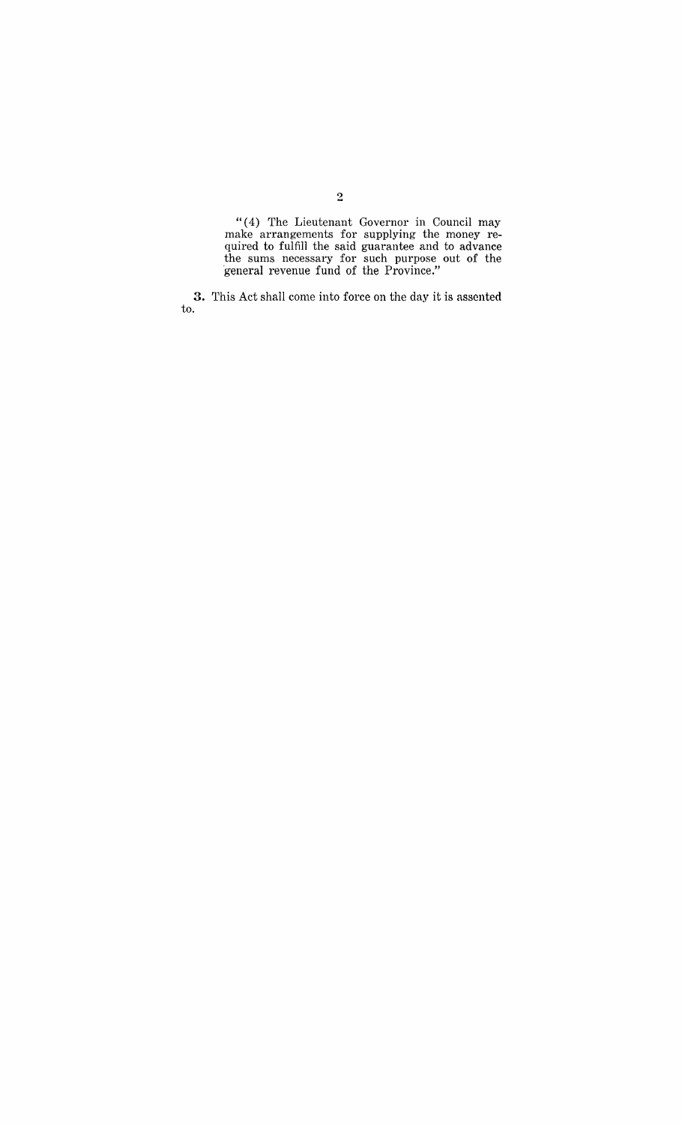"( 4) The Lieutenant Governor in Council may make arrangements for supplying the money required to fulfill the said guarantee and to advance the sums necessary for such purpose out of the "general revenue fund of the Province."

**3.** This Act shall come into force on the day it is assented to.